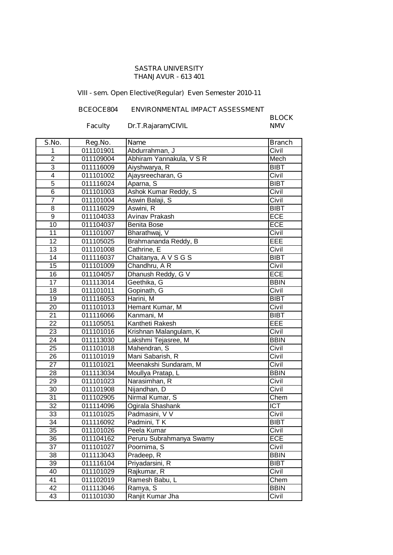#### **SASTRA UNIVERSITY THANJAVUR - 613 401**

# **VIII - sem. Open Elective(Regular) Even Semester 2010-11**

## **BCEOCE804 ENVIRONMENTAL IMPACT ASSESSMENT**

### **Faculty Dr.T.Rajaram/CIVIL**

**BLOCK**

| S.No.                   | Reg.No.   | <b>Name</b>              | <b>Branch</b> |
|-------------------------|-----------|--------------------------|---------------|
| 1                       | 011101901 | Abdurrahman, J           | Civil         |
| $\overline{2}$          | 011109004 | Abhiram Yannakula, V S R | Mech          |
| 3                       | 011116009 | Aiyshwarya, R            | <b>BIBT</b>   |
| $\overline{\mathbf{4}}$ | 011101002 | Ajaysreecharan, G        | Civil         |
| $\overline{5}$          | 011116024 | Aparna, S                | <b>BIBT</b>   |
| $\overline{6}$          | 011101003 | Ashok Kumar Reddy, S     | Civil         |
| $\overline{7}$          | 011101004 | Aswin Balaji, S          | Civil         |
| 8                       | 011116029 | Aswini, R                | <b>BIBT</b>   |
| 9                       | 011104033 | Avinav Prakash           | <b>ECE</b>    |
| 10                      | 011104037 | <b>Benita Bose</b>       | <b>ECE</b>    |
| 11                      | 011101007 | Bharathwaj, V            | Civil         |
| 12                      | 011105025 | Brahmananda Reddy, B     | EEE           |
| 13                      | 011101008 | Cathrine, E              | Civil         |
| 14                      | 011116037 | Chaitanya, A V S G S     | <b>BIBT</b>   |
| 15                      | 011101009 | Chandhru, AR             | Civil         |
| 16                      | 011104057 | Dhanush Reddy, G V       | ECE           |
| 17                      | 011113014 | Geethika, G              | <b>BBIN</b>   |
| 18                      | 011101011 | Gopinath, G              | Civil         |
| 19                      | 011116053 | Harini, M                | <b>BIBT</b>   |
| 20                      | 011101013 | Hemant Kumar, M          | Civil         |
| 21                      | 011116066 | Kanmani, M               | <b>BIBT</b>   |
| 22                      | 011105051 | Kantheti Rakesh          | EEE           |
| 23                      | 011101016 | Krishnan Malangulam, K   | Civil         |
| 24                      | 011113030 | Lakshmi Tejasree, M      | <b>BBIN</b>   |
| 25                      | 011101018 | Mahendran, S             | Civil         |
| 26                      | 011101019 | Mani Sabarish, R         | Civil         |
| 27                      | 011101021 | Meenakshi Sundaram, M    | Civil         |
| 28                      | 011113034 | Moullya Pratap, L        | <b>BBIN</b>   |
| 29                      | 011101023 | Narasimhan, R            | Civil         |
| 30                      | 011101908 | Nijandhan, D             | Civil         |
| 31                      | 011102905 | Nirmal Kumar, S          | Chem          |
| 32                      | 011114096 | Ogirala Shashank         | <b>ICT</b>    |
| 33                      | 011101025 | Padmasini, V V           | Civil         |
| 34                      | 011116092 | Padmini, TK              | <b>BIBT</b>   |
| 35                      | 011101026 | Peela Kumar              | Civil         |
| 36                      | 011104162 | Peruru Subrahmanya Swamy | <b>ECE</b>    |
| 37                      | 011101027 | Poornima, S              | Civil         |
| 38                      | 011113043 | Pradeep, R               | <b>BBIN</b>   |
| 39                      | 011116104 | Priyadarsini, R          | <b>BIBT</b>   |
| 40                      | 011101029 | Rajkumar, R              | Civil         |
| 41                      | 011102019 | Ramesh Babu, L           | Chem          |
| 42                      | 011113046 | Ramya, S                 | <b>BBIN</b>   |
| 43                      | 011101030 | Ranjit Kumar Jha         | Civil         |